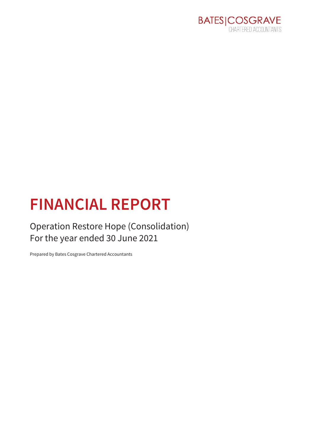

# **FINANCIAL REPORT**

**Operation Restore Hope (Consolidation)** For the year ended 30 June 2021

Prepared by Bates Cosgrave Chartered Accountants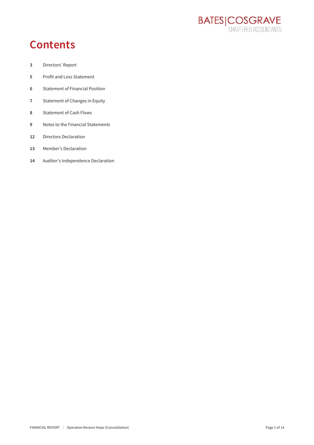

## **Contents**

- $\mathsf 3$ Directors' Report
- $\overline{5}$ Profit and Loss Statement
- **Statement of Financial Position**  $\boldsymbol{6}$
- $\overline{7}$ Statement of Changes in Equity
- **Statement of Cash Flows** 8
- Notes to the Financial Statements  $\overline{9}$
- **Directors Declaration**  $12$
- Member's Declaration 13
- $14\,$ Auditor's Independence Declaration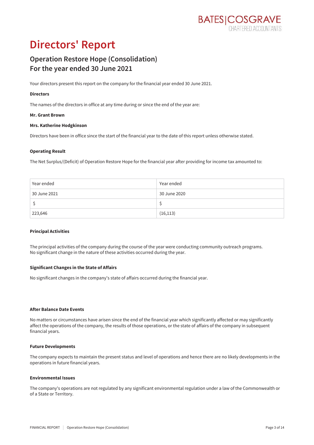

## **Directors' Report**

### **Operation Restore Hope (Consolidation)** For the year ended 30 June 2021

Your directors present this report on the company for the financial year ended 30 June 2021.

### **Directors**

The names of the directors in office at any time during or since the end of the year are:

### Mr. Grant Brown

### Mrs. Katherine Hodgkinson

Directors have been in office since the start of the financial year to the date of this report unless otherwise stated.

### **Operating Result**

The Net Surplus/(Deficit) of Operation Restore Hope for the financial year after providing for income tax amounted to:

| Year ended   | Year ended   |
|--------------|--------------|
| 30 June 2021 | 30 June 2020 |
|              |              |
| 223,646      | (16, 113)    |

#### **Principal Activities**

The principal activities of the company during the course of the year were conducting community outreach programs. No significant change in the nature of these activities occurred during the year.

### **Significant Changes in the State of Affairs**

No significant changes in the company's state of affairs occurred during the financial year.

#### **After Balance Date Events**

No matters or circumstances have arisen since the end of the financial year which significantly affected or may significantly affect the operations of the company, the results of those operations, or the state of affairs of the company in subsequent financial years.

#### **Future Developments**

The company expects to maintain the present status and level of operations and hence there are no likely developments in the operations in future financial years.

#### **Environmental Issues**

The company's operations are not regulated by any significant environmental regulation under a law of the Commonwealth or of a State or Territory.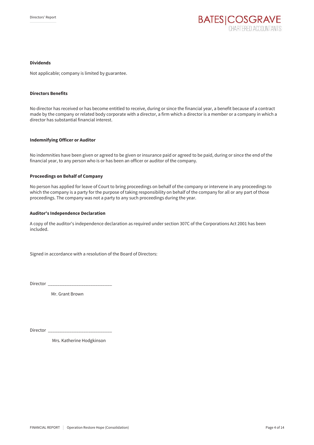

### **Dividends**

Not applicable; company is limited by guarantee.

#### **Directors Benefits**

No director has received or has become entitled to receive, during or since the financial year, a benefit because of a contract made by the company or related body corporate with a director, a firm which a director is a member or a company in which a director has substantial financial interest.

#### **Indemnifying Officer or Auditor**

No indemnities have been given or agreed to be given or insurance paid or agreed to be paid, during or since the end of the financial year, to any person who is or has been an officer or auditor of the company.

### **Proceedings on Behalf of Company**

No person has applied for leave of Court to bring proceedings on behalf of the company or intervene in any proceedings to which the company is a party for the purpose of taking responsibility on behalf of the company for all or any part of those proceedings. The company was not a party to any such proceedings during the year.

#### **Auditor's Independence Declaration**

A copy of the auditor's independence declaration as required under section 307C of the Corporations Act 2001 has been included.

Signed in accordance with a resolution of the Board of Directors:

Director\_

Mr. Grant Brown

Director \_\_

Mrs. Katherine Hodgkinson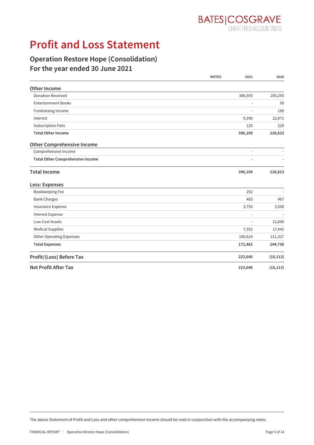

## **Profit and Loss Statement**

### **Operation Restore Hope (Consolidation)** For the year ended 30 June 2021

|                                         | <b>NOTES</b> | 2021                     | 2020      |
|-----------------------------------------|--------------|--------------------------|-----------|
| Other Income                            |              |                          |           |
| <b>Donation Received</b>                |              | 386,593                  | 205,293   |
| <b>Entertainment Books</b>              |              | ÷,                       | 50        |
| Fundraising Income                      |              |                          | 189       |
| Interest                                |              | 9,396                    | 22,871    |
| <b>Subscription Fees</b>                |              | 120                      | 220       |
| <b>Total Other Income</b>               |              | 396,109                  | 228,623   |
| <b>Other Comprehensive Income</b>       |              |                          |           |
| Comprehensive Income                    |              | ÷,                       |           |
| <b>Total Other Comprehensive Income</b> |              |                          |           |
| <b>Total Income</b>                     |              | 396,109                  | 228,623   |
| Less: Expenses                          |              |                          |           |
| Bookkeeping Fee                         |              | 252                      |           |
| <b>Bank Charges</b>                     |              | 483                      | 467       |
| Insurance Expense                       |              | 3,750                    | 3,500     |
| <b>Interest Expense</b>                 |              | $\overline{\phantom{a}}$ |           |
| <b>Low Cost Assets</b>                  |              | $\overline{\phantom{a}}$ | 12,000    |
| <b>Medical Supplies</b>                 |              | 7,352                    | 17,442    |
| Other Operating Expenses                |              | 160,624                  | 211,327   |
| <b>Total Expenses</b>                   |              | 172,462                  | 244,736   |
| Profit/(Loss) Before Tax                |              | 223,646                  | (16, 113) |
| <b>Net Profit After Tax</b>             |              | 223,646                  | (16, 113) |

The above Statement of Profit and Loss and other comprehensive income should be read in conjunction with the accompanying notes.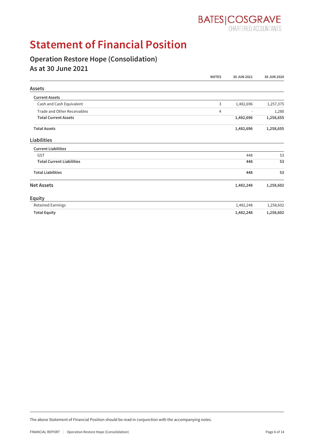

## **Statement of Financial Position**

### **Operation Restore Hope (Consolidation)** As at 30 June 2021

|                                  | <b>NOTES</b> | 30 JUN 2021              | 30 JUN 2020 |
|----------------------------------|--------------|--------------------------|-------------|
| <b>Assets</b>                    |              |                          |             |
| <b>Current Assets</b>            |              |                          |             |
| Cash and Cash Equivalent         | 3            | 1,482,696                | 1,257,375   |
| Trade and Other Receivables      | 4            | $\overline{\phantom{a}}$ | 1,280       |
| <b>Total Current Assets</b>      |              | 1,482,696                | 1,258,655   |
| <b>Total Assets</b>              |              | 1,482,696                | 1,258,655   |
| <b>Liabilities</b>               |              |                          |             |
| <b>Current Liabilities</b>       |              |                          |             |
| GST                              |              | 448                      | 53          |
| <b>Total Current Liabilities</b> |              | 448                      | 53          |
| <b>Total Liabilities</b>         |              | 448                      | 53          |
| <b>Net Assets</b>                |              | 1,482,248                | 1,258,602   |
| <b>Equity</b>                    |              |                          |             |
| <b>Retained Earnings</b>         |              | 1,482,248                | 1,258,602   |
| <b>Total Equity</b>              |              | 1,482,248                | 1,258,602   |

The above Statement of Financial Position should be read in conjunction with the accompanying notes.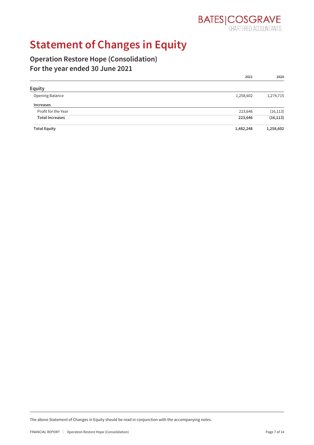

## **Statement of Changes in Equity**

### **Operation Restore Hope (Consolidation)** For the year ended 30 June 2021

|                        | 2021      | 2020      |
|------------------------|-----------|-----------|
| Equity                 |           |           |
| Opening Balance        | 1,258,602 | 1,274,715 |
| <b>Increases</b>       |           |           |
| Profit for the Year    | 223,646   | (16, 113) |
| <b>Total Increases</b> | 223,646   | (16, 113) |
| <b>Total Equity</b>    | 1,482,248 | 1,258,602 |

The above Statement of Changes in Equity should be read in conjunction with the accompanying notes.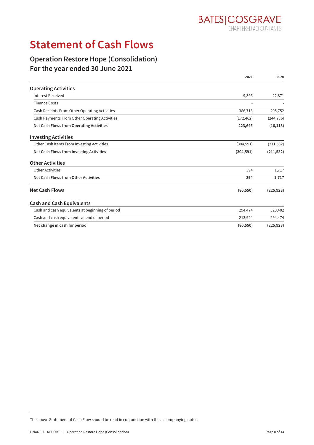

## **Statement of Cash Flows**

### **Operation Restore Hope (Consolidation)** For the year ended 30 June 2021

|                                                  | 2021       | 2020       |
|--------------------------------------------------|------------|------------|
| <b>Operating Activities</b>                      |            |            |
| Interest Received                                | 9,396      | 22,871     |
| <b>Finance Costs</b>                             |            |            |
| Cash Receipts From Other Operating Activities    | 386,713    | 205,752    |
| Cash Payments From Other Operating Activities    | (172, 462) | (244, 736) |
| Net Cash Flows from Operating Activities         | 223,646    | (16, 113)  |
| <b>Investing Activities</b>                      |            |            |
| Other Cash Items From Investing Activities       | (304, 591) | (211, 532) |
| Net Cash Flows from Investing Activities         | (304, 591) | (211, 532) |
| <b>Other Activities</b>                          |            |            |
| Other Activities                                 | 394        | 1,717      |
| Net Cash Flows from Other Activities             | 394        | 1,717      |
| <b>Net Cash Flows</b>                            | (80, 550)  | (225, 928) |
| <b>Cash and Cash Equivalents</b>                 |            |            |
| Cash and cash equivalents at beginning of period | 294,474    | 520,402    |
| Cash and cash equivalents at end of period       | 213,924    | 294,474    |
| Net change in cash for period                    | (80, 550)  | (225, 928) |

The above Statement of Cash Flow should be read in conjunction with the accompanying notes.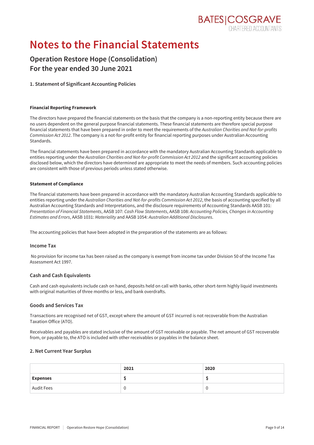

## **Notes to the Financial Statements**

### **Operation Restore Hope (Consolidation)** For the year ended 30 June 2021

### 1. Statement of Significant Accounting Policies

### **Financial Reporting Framework**

The directors have prepared the financial statements on the basis that the company is a non-reporting entity because there are no users dependent on the general purpose financial statements. These financial statements are therefore special purpose financial statements that have been prepared in order to meet the requirements of the Australian Charities and Not-for-profits Commission Act 2012. The company is a not-for-profit entity for financial reporting purposes under Australian Accounting Standards

The financial statements have been prepared in accordance with the mandatory Australian Accounting Standards applicable to entities reporting under the Australian Charities and Not-for-profit Commission Act 2012 and the significant accounting policies disclosed below, which the directors have determined are appropriate to meet the needs of members. Such accounting policies are consistent with those of previous periods unless stated otherwise.

### **Statement of Compliance**

The financial statements have been prepared in accordance with the mandatory Australian Accounting Standards applicable to entities reporting under the Australian Charities and Not-for-profits Commission Act 2012, the basis of accounting specified by all Australian Accounting Standards and Interpretations, and the disclosure requirements of Accounting Standards AASB 101: Presentation of Financial Statements, AASB 107: Cash Flow Statements, AASB 108: Accounting Policies, Changes in Accounting Estimates and Errors, AASB 1031: Materiality and AASB 1054: Australian Additional Disclosures.

The accounting policies that have been adopted in the preparation of the statements are as follows:

### **Income Tax**

No provision for income tax has been raised as the company is exempt from income tax under Division 50 of the Income Tax Assessment Act 1997.

### **Cash and Cash Equivalents**

Cash and cash equivalents include cash on hand, deposits held on call with banks, other short-term highly liquid investments with original maturities of three months or less, and bank overdrafts.

### **Goods and Services Tax**

Transactions are recognised net of GST, except where the amount of GST incurred is not recoverable from the Australian Taxation Office (ATO).

Receivables and payables are stated inclusive of the amount of GST receivable or payable. The net amount of GST recoverable from, or payable to, the ATO is included with other receivables or payables in the balance sheet.

### 2. Net Current Year Surplus

|                   | 2021 | 2020 |
|-------------------|------|------|
| <b>Expenses</b>   |      |      |
| <b>Audit Fees</b> |      | v    |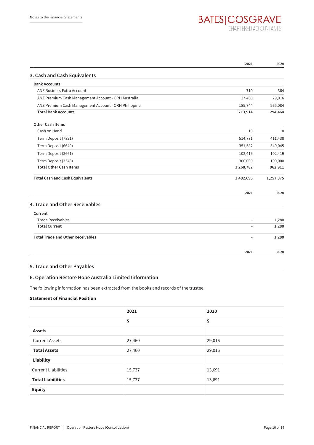# **BATES | COSGRAVE**

|                                                      | 2021      | 2020      |
|------------------------------------------------------|-----------|-----------|
| 3. Cash and Cash Equivalents                         |           |           |
| <b>Bank Accounts</b>                                 |           |           |
| <b>ANZ Business Extra Account</b>                    | 710       | 364       |
| ANZ Premium Cash Management Account - ORH Australia  | 27,460    | 29,016    |
| ANZ Premium Cash Management Account - ORH Philippine | 185,744   | 265,084   |
| <b>Total Bank Accounts</b>                           | 213,914   | 294,464   |
| <b>Other Cash Items</b>                              |           |           |
| Cash on Hand                                         | 10        | 10        |
| Term Deposit (7821)                                  | 514,771   | 411,438   |
| Term Deposit (6649)                                  | 351,582   | 349,045   |
| Term Deposit (3661)                                  | 102,419   | 102,419   |
| Term Deposit (3348)                                  | 300,000   | 100,000   |
| <b>Total Other Cash Items</b>                        | 1,268,782 | 962,911   |
| <b>Total Cash and Cash Equivalents</b>               | 1,482,696 | 1,257,375 |
|                                                      | 2021      | 2020      |
| 4. Trade and Other Receivables                       |           |           |
| Current                                              |           |           |
| <b>Trade Receivables</b>                             |           | 1,280     |
| <b>Total Current</b>                                 |           | 1,280     |
| <b>Total Trade and Other Receivables</b>             |           | 1,280     |
|                                                      | 2021      | 2020      |

### 5. Trade and Other Payables

### 6. Operation Restore Hope Australia Limited Information

The following information has been extracted from the books and records of the trustee.

### **Statement of Financial Position**

|                            | 2021   | 2020   |
|----------------------------|--------|--------|
|                            | \$     | \$     |
| <b>Assets</b>              |        |        |
| <b>Current Assets</b>      | 27,460 | 29,016 |
| <b>Total Assets</b>        | 27,460 | 29,016 |
| <b>Liability</b>           |        |        |
| <b>Current Liabilities</b> | 15,737 | 13,691 |
| <b>Total Liabilities</b>   | 15,737 | 13,691 |
| <b>Equity</b>              |        |        |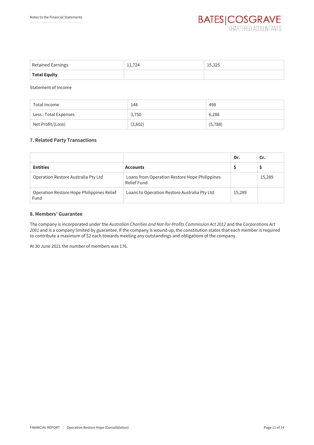| <b>Retained Earnings</b> | 11,724 | 15,325 |
|--------------------------|--------|--------|
| <b>Total Equity</b>      |        |        |

**Statement of Income** 

| Total Income         | 148     | 498     |
|----------------------|---------|---------|
| Less: Total Expenses | 3,750   | 6,286   |
| Net Profit/(Loss)    | (3,602) | (5,788) |

### 7. Related Party Transactions

|                                                   |                                                              | Dr.    | Cr.    |
|---------------------------------------------------|--------------------------------------------------------------|--------|--------|
| <b>Entities</b>                                   | <b>Accounts</b>                                              |        |        |
| Operation Restore Australia Pty Ltd               | Loans from Operation Restore Hope Philippines<br>Relief Fund |        | 15,289 |
| Operation Restore Hope Philippines Relief<br>Fund | Loans to Operation Restore Australia Pty Ltd                 | 15,289 |        |

### 8. Members' Guarantee

The company is incorporated under the Australian Charities and Not-for-Profits Commission Act 2012 and the Corporations Act 2001 and is a company limited by guarantee. If the company is wound up, the constitution states that each member is required to contribute a maximum of \$2 each towards meeting any outstandings and obligations of the company.

At 30 June 2021 the number of members was 176.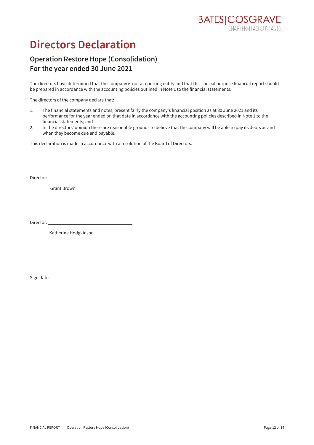## **Directors Declaration**

### **Operation Restore Hope (Consolidation)** For the year ended 30 June 2021

The directors have determined that the company is not a reporting entity and that this special purpose financial report should be prepared in accordance with the accounting policies outlined in Note 1 to the financial statements.

The directors of the company declare that:

- The financial statements and notes, present fairly the company's financial position as at 30 June 2021 and its  $\mathbf{1}$ . performance for the year ended on that date in accordance with the accounting policies described in Note 1 to the financial statements; and
- $2.$ In the directors' opinion there are reasonable grounds to believe that the company will be able to pay its debts as and when they become due and payable.

This declaration is made in accordance with a resolution of the Board of Directors.

Director:

**Grant Brown** 

Director:

Katherine Hodgkinson

Sign date: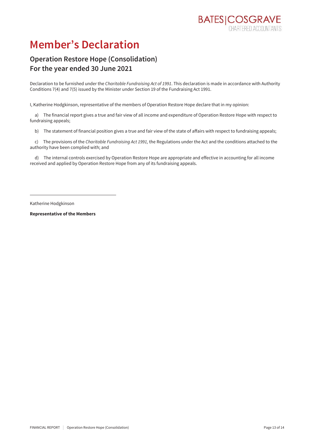## **Member's Declaration**

### **Operation Restore Hope (Consolidation)** For the year ended 30 June 2021

Declaration to be furnished under the Charitable Fundraising Act of 1991. This declaration is made in accordance with Authority Conditions 7(4) and 7(5) issued by the Minister under Section 19 of the Fundraising Act 1991.

I, Katherine Hodgkinson, representative of the members of Operation Restore Hope declare that in my opinion:

a) The financial report gives a true and fair view of all income and expenditure of Operation Restore Hope with respect to fundraising appeals;

b) The statement of financial position gives a true and fair view of the state of affairs with respect to fundraising appeals;

c) The provisions of the Charitable Fundraising Act 1991, the Regulations under the Act and the conditions attached to the authority have been complied with; and

d) The internal controls exercised by Operation Restore Hope are appropriate and effective in accounting for all income received and applied by Operation Restore Hope from any of its fundraising appeals.

Katherine Hodgkinson

**Representative of the Members**